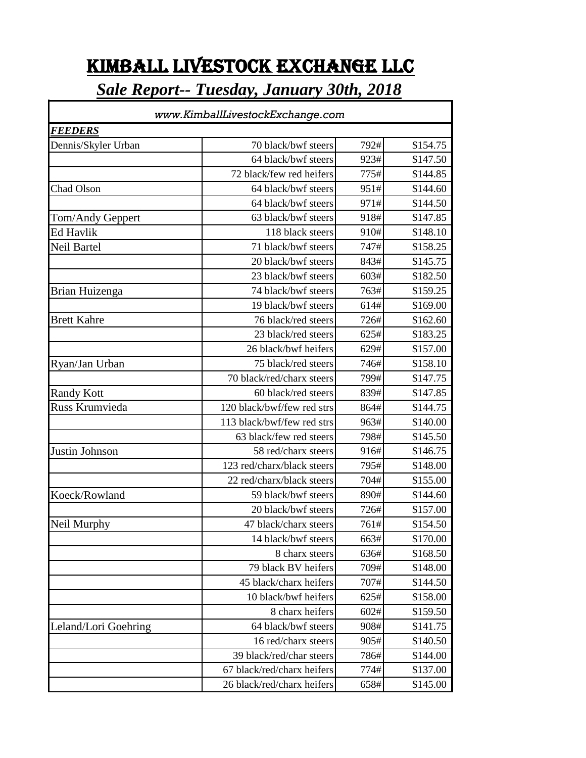## KIMBALL LIVESTOCK EXCHANGE LLC

## *Sale Report-- Tuesday, January 30th, 2018*

| www.KimballLivestockExchange.com<br><i>FEEDERS</i> |                            |      |          |  |  |
|----------------------------------------------------|----------------------------|------|----------|--|--|
|                                                    |                            |      |          |  |  |
|                                                    | 64 black/bwf steers        | 923# | \$147.50 |  |  |
|                                                    | 72 black/few red heifers   | 775# | \$144.85 |  |  |
| <b>Chad Olson</b>                                  | 64 black/bwf steers        | 951# | \$144.60 |  |  |
|                                                    | 64 black/bwf steers        | 971# | \$144.50 |  |  |
| Tom/Andy Geppert                                   | 63 black/bwf steers        | 918# | \$147.85 |  |  |
| <b>Ed Havlik</b>                                   | 118 black steers           | 910# | \$148.10 |  |  |
| Neil Bartel                                        | 71 black/bwf steers        | 747# | \$158.25 |  |  |
|                                                    | 20 black/bwf steers        | 843# | \$145.75 |  |  |
|                                                    | 23 black/bwf steers        | 603# | \$182.50 |  |  |
| Brian Huizenga                                     | 74 black/bwf steers        | 763# | \$159.25 |  |  |
|                                                    | 19 black/bwf steers        | 614# | \$169.00 |  |  |
| <b>Brett Kahre</b>                                 | 76 black/red steers        | 726# | \$162.60 |  |  |
|                                                    | 23 black/red steers        | 625# | \$183.25 |  |  |
|                                                    | 26 black/bwf heifers       | 629# | \$157.00 |  |  |
| Ryan/Jan Urban                                     | 75 black/red steers        | 746# | \$158.10 |  |  |
|                                                    | 70 black/red/charx steers  | 799# | \$147.75 |  |  |
| <b>Randy Kott</b>                                  | 60 black/red steers        | 839# | \$147.85 |  |  |
| Russ Krumvieda                                     | 120 black/bwf/few red strs | 864# | \$144.75 |  |  |
|                                                    | 113 black/bwf/few red strs | 963# | \$140.00 |  |  |
|                                                    | 63 black/few red steers    | 798# | \$145.50 |  |  |
| Justin Johnson                                     | 58 red/charx steers        | 916# | \$146.75 |  |  |
|                                                    | 123 red/charx/black steers | 795# | \$148.00 |  |  |
|                                                    | 22 red/charx/black steers  | 704# | \$155.00 |  |  |
| Koeck/Rowland                                      | 59 black/bwf steers        | 890# | \$144.60 |  |  |
|                                                    | 20 black/bwf steers        | 726# | \$157.00 |  |  |
| Neil Murphy                                        | 47 black/charx steers      | 761# | \$154.50 |  |  |
|                                                    | 14 black/bwf steers        | 663# | \$170.00 |  |  |
|                                                    | 8 charx steers             | 636# | \$168.50 |  |  |
|                                                    | 79 black BV heifers        | 709# | \$148.00 |  |  |
|                                                    | 45 black/charx heifers     | 707# | \$144.50 |  |  |
|                                                    | 10 black/bwf heifers       | 625# | \$158.00 |  |  |
|                                                    | 8 charx heifers            | 602# | \$159.50 |  |  |
| Leland/Lori Goehring                               | 64 black/bwf steers        | 908# | \$141.75 |  |  |
|                                                    | 16 red/charx steers        | 905# | \$140.50 |  |  |
|                                                    | 39 black/red/char steers   | 786# | \$144.00 |  |  |
|                                                    | 67 black/red/charx heifers | 774# | \$137.00 |  |  |
|                                                    | 26 black/red/charx heifers | 658# | \$145.00 |  |  |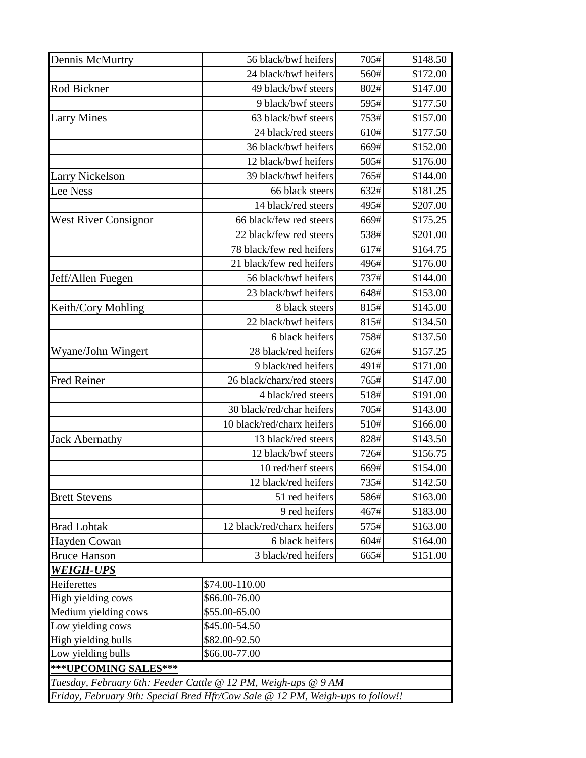| Dennis McMurtry             | 56 black/bwf heifers                                                           | 705# | \$148.50 |
|-----------------------------|--------------------------------------------------------------------------------|------|----------|
|                             | 24 black/bwf heifers                                                           | 560# | \$172.00 |
| Rod Bickner                 | 49 black/bwf steers                                                            | 802# | \$147.00 |
|                             | 9 black/bwf steers                                                             | 595# | \$177.50 |
| <b>Larry Mines</b>          | 63 black/bwf steers                                                            | 753# | \$157.00 |
|                             | 24 black/red steers                                                            | 610# | \$177.50 |
|                             | 36 black/bwf heifers                                                           | 669# | \$152.00 |
|                             | 12 black/bwf heifers                                                           | 505# | \$176.00 |
| <b>Larry Nickelson</b>      | 39 black/bwf heifers                                                           | 765# | \$144.00 |
| Lee Ness                    | 66 black steers                                                                | 632# | \$181.25 |
|                             | 14 black/red steers                                                            | 495# | \$207.00 |
| <b>West River Consignor</b> | 66 black/few red steers                                                        | 669# | \$175.25 |
|                             | 22 black/few red steers                                                        | 538# | \$201.00 |
|                             | 78 black/few red heifers                                                       | 617# | \$164.75 |
|                             | 21 black/few red heifers                                                       | 496# | \$176.00 |
| Jeff/Allen Fuegen           | 56 black/bwf heifers                                                           | 737# | \$144.00 |
|                             | 23 black/bwf heifers                                                           | 648# | \$153.00 |
| Keith/Cory Mohling          | 8 black steers                                                                 | 815# | \$145.00 |
|                             | 22 black/bwf heifers                                                           | 815# | \$134.50 |
|                             | 6 black heifers                                                                | 758# | \$137.50 |
| Wyane/John Wingert          | 28 black/red heifers                                                           | 626# | \$157.25 |
|                             | 9 black/red heifers                                                            | 491# | \$171.00 |
| <b>Fred Reiner</b>          | 26 black/charx/red steers                                                      | 765# | \$147.00 |
|                             | 4 black/red steers                                                             | 518# | \$191.00 |
|                             | 30 black/red/char heifers                                                      | 705# | \$143.00 |
|                             | 10 black/red/charx heifers                                                     | 510# | \$166.00 |
| <b>Jack Abernathy</b>       | 13 black/red steers                                                            | 828# | \$143.50 |
|                             | 12 black/bwf steers                                                            | 726# | \$156.75 |
|                             | 10 red/herf steers                                                             | 669# | \$154.00 |
|                             | 12 black/red heifers                                                           | 735# | \$142.50 |
| <b>Brett Stevens</b>        | 51 red heifers                                                                 | 586# | \$163.00 |
|                             | 9 red heifers                                                                  | 467# | \$183.00 |
| <b>Brad Lohtak</b>          | 12 black/red/charx heifers                                                     | 575# | \$163.00 |
| Hayden Cowan                | 6 black heifers                                                                | 604# | \$164.00 |
| <b>Bruce Hanson</b>         | 3 black/red heifers                                                            | 665# | \$151.00 |
| <b>WEIGH-UPS</b>            |                                                                                |      |          |
| Heiferettes                 | \$74.00-110.00                                                                 |      |          |
| High yielding cows          | \$66.00-76.00                                                                  |      |          |
| Medium yielding cows        | \$55.00-65.00                                                                  |      |          |
| Low yielding cows           | \$45.00-54.50                                                                  |      |          |
| High yielding bulls         | \$82.00-92.50                                                                  |      |          |
| Low yielding bulls          | \$66.00-77.00                                                                  |      |          |
| ***UPCOMING SALES***        |                                                                                |      |          |
|                             | Tuesday, February 6th: Feeder Cattle @ 12 PM, Weigh-ups @ 9 AM                 |      |          |
|                             | Friday, February 9th: Special Bred Hfr/Cow Sale @ 12 PM, Weigh-ups to follow!! |      |          |
|                             |                                                                                |      |          |